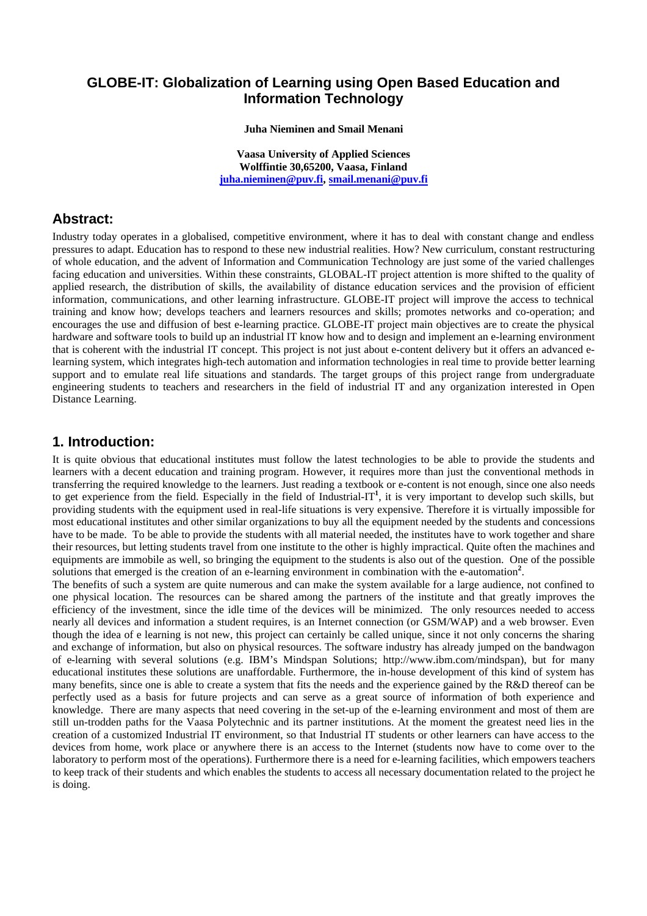### **GLOBE-IT: Globalization of Learning using Open Based Education and Information Technology**

#### **Juha Nieminen and Smail Menani**

**Vaasa University of Applied Sciences Wolffintie 30,65200, Vaasa, Finland juha.nieminen@puv.fi, smail.menani@puv.fi**

### **Abstract:**

Industry today operates in a globalised, competitive environment, where it has to deal with constant change and endless pressures to adapt. Education has to respond to these new industrial realities. How? New curriculum, constant restructuring of whole education, and the advent of Information and Communication Technology are just some of the varied challenges facing education and universities. Within these constraints, GLOBAL-IT project attention is more shifted to the quality of applied research, the distribution of skills, the availability of distance education services and the provision of efficient information, communications, and other learning infrastructure. GLOBE-IT project will improve the access to technical training and know how; develops teachers and learners resources and skills; promotes networks and co-operation; and encourages the use and diffusion of best e-learning practice. GLOBE-IT project main objectives are to create the physical hardware and software tools to build up an industrial IT know how and to design and implement an e-learning environment that is coherent with the industrial IT concept. This project is not just about e-content delivery but it offers an advanced elearning system, which integrates high-tech automation and information technologies in real time to provide better learning support and to emulate real life situations and standards. The target groups of this project range from undergraduate engineering students to teachers and researchers in the field of industrial IT and any organization interested in Open Distance Learning.

#### **1. Introduction:**

It is quite obvious that educational institutes must follow the latest technologies to be able to provide the students and learners with a decent education and training program. However, it requires more than just the conventional methods in transferring the required knowledge to the learners. Just reading a textbook or e-content is not enough, since one also needs to get experience from the field. Especially in the field of Industrial-IT**<sup>1</sup>** , it is very important to develop such skills, but providing students with the equipment used in real-life situations is very expensive. Therefore it is virtually impossible for most educational institutes and other similar organizations to buy all the equipment needed by the students and concessions have to be made. To be able to provide the students with all material needed, the institutes have to work together and share their resources, but letting students travel from one institute to the other is highly impractical. Quite often the machines and equipments are immobile as well, so bringing the equipment to the students is also out of the question. One of the possible solutions that emerged is the creation of an e-learning environment in combination with the e-automation<sup>2</sup>.

The benefits of such a system are quite numerous and can make the system available for a large audience, not confined to one physical location. The resources can be shared among the partners of the institute and that greatly improves the efficiency of the investment, since the idle time of the devices will be minimized. The only resources needed to access nearly all devices and information a student requires, is an Internet connection (or GSM/WAP) and a web browser. Even though the idea of e learning is not new, this project can certainly be called unique, since it not only concerns the sharing and exchange of information, but also on physical resources. The software industry has already jumped on the bandwagon of e-learning with several solutions (e.g. IBM's Mindspan Solutions; http://www.ibm.com/mindspan), but for many educational institutes these solutions are unaffordable. Furthermore, the in-house development of this kind of system has many benefits, since one is able to create a system that fits the needs and the experience gained by the R&D thereof can be perfectly used as a basis for future projects and can serve as a great source of information of both experience and knowledge. There are many aspects that need covering in the set-up of the e-learning environment and most of them are still un-trodden paths for the Vaasa Polytechnic and its partner institutions. At the moment the greatest need lies in the creation of a customized Industrial IT environment, so that Industrial IT students or other learners can have access to the devices from home, work place or anywhere there is an access to the Internet (students now have to come over to the laboratory to perform most of the operations). Furthermore there is a need for e-learning facilities, which empowers teachers to keep track of their students and which enables the students to access all necessary documentation related to the project he is doing.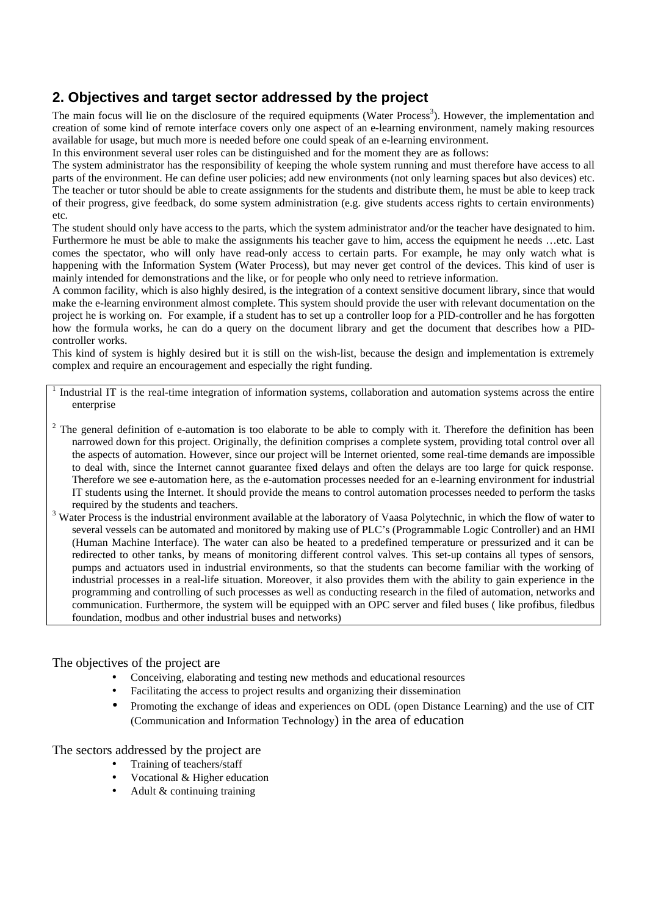# **2. Objectives and target sector addressed by the project**

The main focus will lie on the disclosure of the required equipments (Water Process<sup>3</sup>). However, the implementation and creation of some kind of remote interface covers only one aspect of an e-learning environment, namely making resources available for usage, but much more is needed before one could speak of an e-learning environment.

In this environment several user roles can be distinguished and for the moment they are as follows:

The system administrator has the responsibility of keeping the whole system running and must therefore have access to all parts of the environment. He can define user policies; add new environments (not only learning spaces but also devices) etc. The teacher or tutor should be able to create assignments for the students and distribute them, he must be able to keep track of their progress, give feedback, do some system administration (e.g. give students access rights to certain environments) etc.

The student should only have access to the parts, which the system administrator and/or the teacher have designated to him. Furthermore he must be able to make the assignments his teacher gave to him, access the equipment he needs …etc. Last comes the spectator, who will only have read-only access to certain parts. For example, he may only watch what is happening with the Information System (Water Process), but may never get control of the devices. This kind of user is mainly intended for demonstrations and the like, or for people who only need to retrieve information.

A common facility, which is also highly desired, is the integration of a context sensitive document library, since that would make the e-learning environment almost complete. This system should provide the user with relevant documentation on the project he is working on. For example, if a student has to set up a controller loop for a PID-controller and he has forgotten how the formula works, he can do a query on the document library and get the document that describes how a PIDcontroller works.

This kind of system is highly desired but it is still on the wish-list, because the design and implementation is extremely complex and require an encouragement and especially the right funding.

1 Industrial IT is the real-time integration of information systems, collaboration and automation systems across the entire enterprise

- $2$  The general definition of e-automation is too elaborate to be able to comply with it. Therefore the definition has been narrowed down for this project. Originally, the definition comprises a complete system, providing total control over all the aspects of automation. However, since our project will be Internet oriented, some real-time demands are impossible to deal with, since the Internet cannot guarantee fixed delays and often the delays are too large for quick response. Therefore we see e-automation here, as the e-automation processes needed for an e-learning environment for industrial IT students using the Internet. It should provide the means to control automation processes needed to perform the tasks required by the students and teachers.
- <sup>3</sup> Water Process is the industrial environment available at the laboratory of Vaasa Polytechnic, in which the flow of water to several vessels can be automated and monitored by making use of PLC's (Programmable Logic Controller) and an HMI (Human Machine Interface). The water can also be heated to a predefined temperature or pressurized and it can be redirected to other tanks, by means of monitoring different control valves. This set-up contains all types of sensors, pumps and actuators used in industrial environments, so that the students can become familiar with the working of industrial processes in a real-life situation. Moreover, it also provides them with the ability to gain experience in the programming and controlling of such processes as well as conducting research in the filed of automation, networks and communication. Furthermore, the system will be equipped with an OPC server and filed buses ( like profibus, filedbus foundation, modbus and other industrial buses and networks)

The objectives of the project are

- Conceiving, elaborating and testing new methods and educational resources
- Facilitating the access to project results and organizing their dissemination
- Promoting the exchange of ideas and experiences on ODL (open Distance Learning) and the use of CIT (Communication and Information Technology) in the area of education

The sectors addressed by the project are

- Training of teachers/staff
- Vocational & Higher education
- Adult & continuing training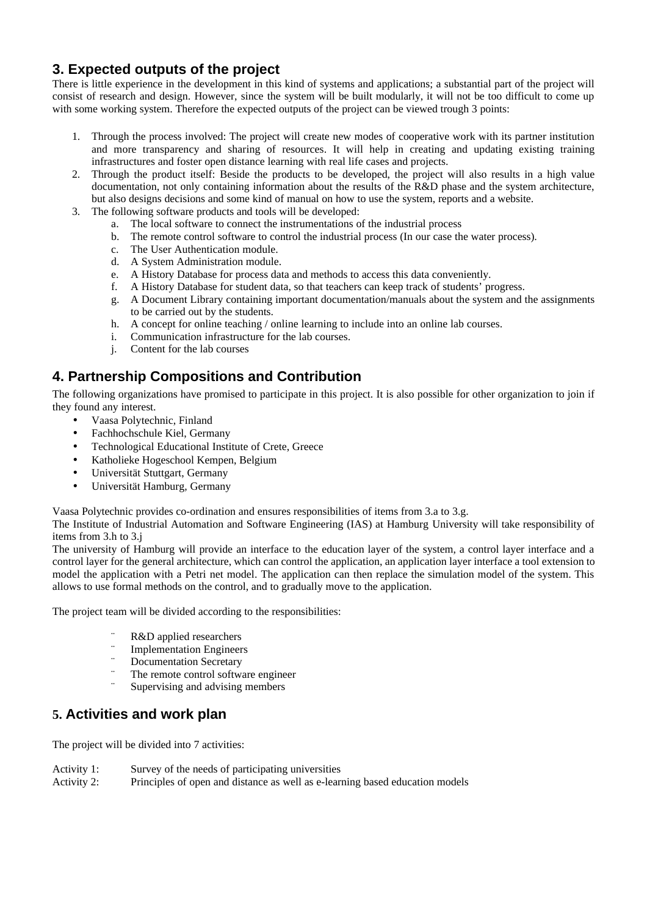# **3. Expected outputs of the project**

There is little experience in the development in this kind of systems and applications; a substantial part of the project will consist of research and design. However, since the system will be built modularly, it will not be too difficult to come up with some working system. Therefore the expected outputs of the project can be viewed trough 3 points:

- 1. Through the process involved: The project will create new modes of cooperative work with its partner institution and more transparency and sharing of resources. It will help in creating and updating existing training infrastructures and foster open distance learning with real life cases and projects.
- 2. Through the product itself: Beside the products to be developed, the project will also results in a high value documentation, not only containing information about the results of the R&D phase and the system architecture, but also designs decisions and some kind of manual on how to use the system, reports and a website.
- 3. The following software products and tools will be developed:
	- a. The local software to connect the instrumentations of the industrial process
	- b. The remote control software to control the industrial process (In our case the water process).
	- c. The User Authentication module.
	- d. A System Administration module.
	- e. A History Database for process data and methods to access this data conveniently.
	- f. A History Database for student data, so that teachers can keep track of students' progress.
	- g. A Document Library containing important documentation/manuals about the system and the assignments to be carried out by the students.
	- h. A concept for online teaching / online learning to include into an online lab courses.
	- i. Communication infrastructure for the lab courses.
	- j. Content for the lab courses

# **4. Partnership Compositions and Contribution**

The following organizations have promised to participate in this project. It is also possible for other organization to join if they found any interest.

- Vaasa Polytechnic, Finland
- Fachhochschule Kiel, Germany
- Technological Educational Institute of Crete, Greece
- Katholieke Hogeschool Kempen, Belgium
- Universität Stuttgart, Germany
- Universität Hamburg, Germany

Vaasa Polytechnic provides co-ordination and ensures responsibilities of items from 3.a to 3.g.

The Institute of Industrial Automation and Software Engineering (IAS) at Hamburg University will take responsibility of items from 3.h to 3.j

The university of Hamburg will provide an interface to the education layer of the system, a control layer interface and a control layer for the general architecture, which can control the application, an application layer interface a tool extension to model the application with a Petri net model. The application can then replace the simulation model of the system. This allows to use formal methods on the control, and to gradually move to the application.

The project team will be divided according to the responsibilities:

- R&D applied researchers
- ¨ Implementation Engineers
- ¨ Documentation Secretary
- The remote control software engineer
- Supervising and advising members

# **5. Activities and work plan**

The project will be divided into 7 activities:

Activity 1: Survey of the needs of participating universities

Activity 2: Principles of open and distance as well as e-learning based education models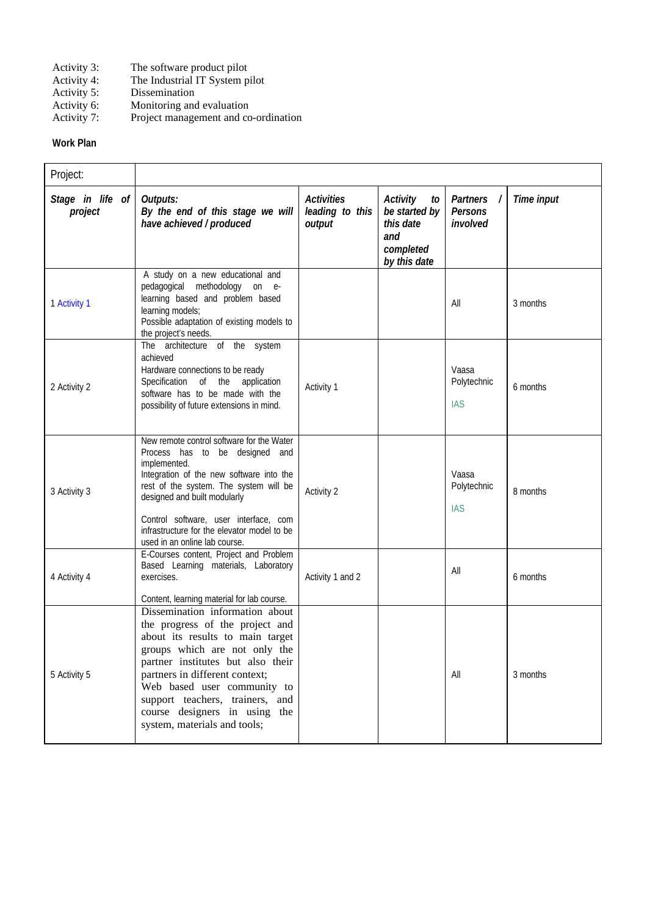- Activity 3: The software product pilot<br>Activity 4: The Industrial IT System p
- Activity 4: The Industrial IT System pilot<br>Activity 5: Dissemination
- 
- Monitoring and evaluation
- Activity 5: Dissemination<br>Activity 6: Monitoring and<br>Activity 7: Project manage Project management and co-ordination

### **Work Plan**

| Project:                    |                                                                                                                                                                                                                                                                                                                                                   |                                                |                                                                                  |                                                    |            |
|-----------------------------|---------------------------------------------------------------------------------------------------------------------------------------------------------------------------------------------------------------------------------------------------------------------------------------------------------------------------------------------------|------------------------------------------------|----------------------------------------------------------------------------------|----------------------------------------------------|------------|
| Stage in life of<br>project | Outputs:<br>By the end of this stage we will<br>have achieved / produced                                                                                                                                                                                                                                                                          | <b>Activities</b><br>leading to this<br>output | Activity<br>to<br>be started by<br>this date<br>and<br>completed<br>by this date | <b>Partners</b><br>$\prime$<br>Persons<br>involved | Time input |
| 1 Activity 1                | A study on a new educational and<br>pedagogical methodology on e-<br>learning based and problem based<br>learning models;<br>Possible adaptation of existing models to<br>the project's needs.                                                                                                                                                    |                                                |                                                                                  | All                                                | 3 months   |
| 2 Activity 2                | The architecture of the system<br>achieved<br>Hardware connections to be ready<br>Specification of the application<br>software has to be made with the<br>possibility of future extensions in mind.                                                                                                                                               | Activity 1                                     |                                                                                  | Vaasa<br>Polytechnic<br><b>IAS</b>                 | 6 months   |
| 3 Activity 3                | New remote control software for the Water<br>Process has to be designed and<br>implemented.<br>Integration of the new software into the<br>rest of the system. The system will be<br>designed and built modularly<br>Control software, user interface, com<br>infrastructure for the elevator model to be<br>used in an online lab course.        | Activity 2                                     |                                                                                  | Vaasa<br>Polytechnic<br><b>IAS</b>                 | 8 months   |
| 4 Activity 4                | E-Courses content, Project and Problem<br>Based Learning materials, Laboratory<br>exercises.<br>Content, learning material for lab course.                                                                                                                                                                                                        | Activity 1 and 2                               |                                                                                  | All                                                | 6 months   |
| 5 Activity 5                | Dissemination information about<br>the progress of the project and<br>about its results to main target<br>groups which are not only the<br>partner institutes but also their<br>partners in different context;<br>Web based user community to<br>support teachers, trainers, and<br>course designers in using the<br>system, materials and tools; |                                                |                                                                                  | All                                                | 3 months   |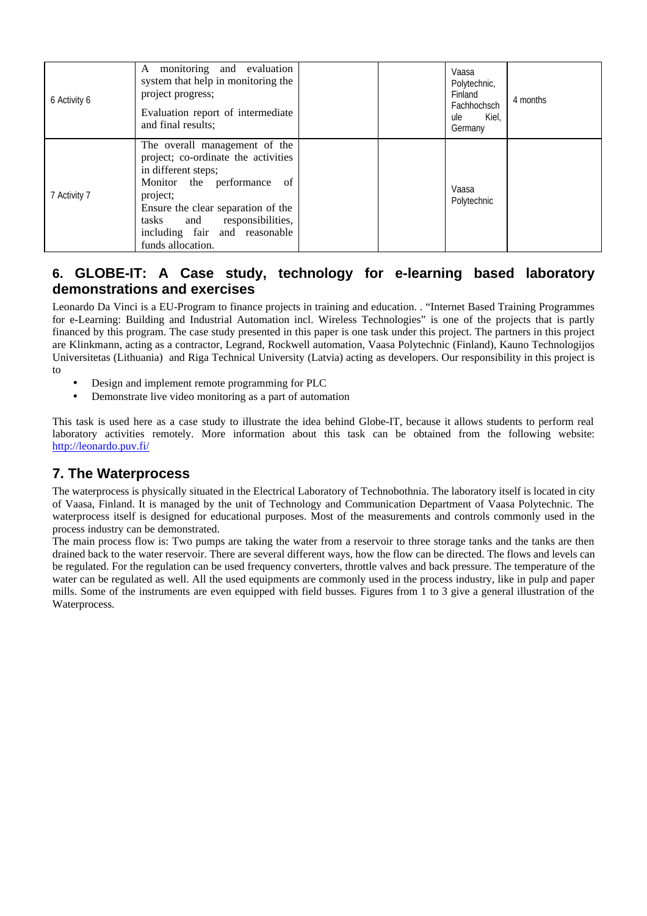| 6 Activity 6 | A monitoring and evaluation<br>system that help in monitoring the<br>project progress;<br>Evaluation report of intermediate<br>and final results;                                                                                                                   |  | Vaasa<br>Polytechnic,<br>Finland<br>Fachhochsch<br>Kiel,<br>ule<br>Germany | 4 months |
|--------------|---------------------------------------------------------------------------------------------------------------------------------------------------------------------------------------------------------------------------------------------------------------------|--|----------------------------------------------------------------------------|----------|
| 7 Activity 7 | The overall management of the<br>project; co-ordinate the activities<br>in different steps;<br>Monitor the performance<br>of<br>project;<br>Ensure the clear separation of the<br>tasks and responsibilities,<br>including fair and reasonable<br>funds allocation. |  | Vaasa<br>Polytechnic                                                       |          |

# **6. GLOBE-IT: A Case study, technology for e-learning based laboratory demonstrations and exercises**

Leonardo Da Vinci is a EU-Program to finance projects in training and education. . "Internet Based Training Programmes for e-Learning: Building and Industrial Automation incl. Wireless Technologies" is one of the projects that is partly financed by this program. The case study presented in this paper is one task under this project. The partners in this project are Klinkmann, acting as a contractor, Legrand, Rockwell automation, Vaasa Polytechnic (Finland), Kauno Technologijos Universitetas (Lithuania) and Riga Technical University (Latvia) acting as developers. Our responsibility in this project is to

- Design and implement remote programming for PLC
- Demonstrate live video monitoring as a part of automation

This task is used here as a case study to illustrate the idea behind Globe-IT, because it allows students to perform real laboratory activities remotely. More information about this task can be obtained from the following website: http://leonardo.puv.fi/

## **7. The Waterprocess**

The waterprocess is physically situated in the Electrical Laboratory of Technobothnia. The laboratory itself is located in city of Vaasa, Finland. It is managed by the unit of Technology and Communication Department of Vaasa Polytechnic. The waterprocess itself is designed for educational purposes. Most of the measurements and controls commonly used in the process industry can be demonstrated.

The main process flow is: Two pumps are taking the water from a reservoir to three storage tanks and the tanks are then drained back to the water reservoir. There are several different ways, how the flow can be directed. The flows and levels can be regulated. For the regulation can be used frequency converters, throttle valves and back pressure. The temperature of the water can be regulated as well. All the used equipments are commonly used in the process industry, like in pulp and paper mills. Some of the instruments are even equipped with field busses. Figures from 1 to 3 give a general illustration of the Waterprocess.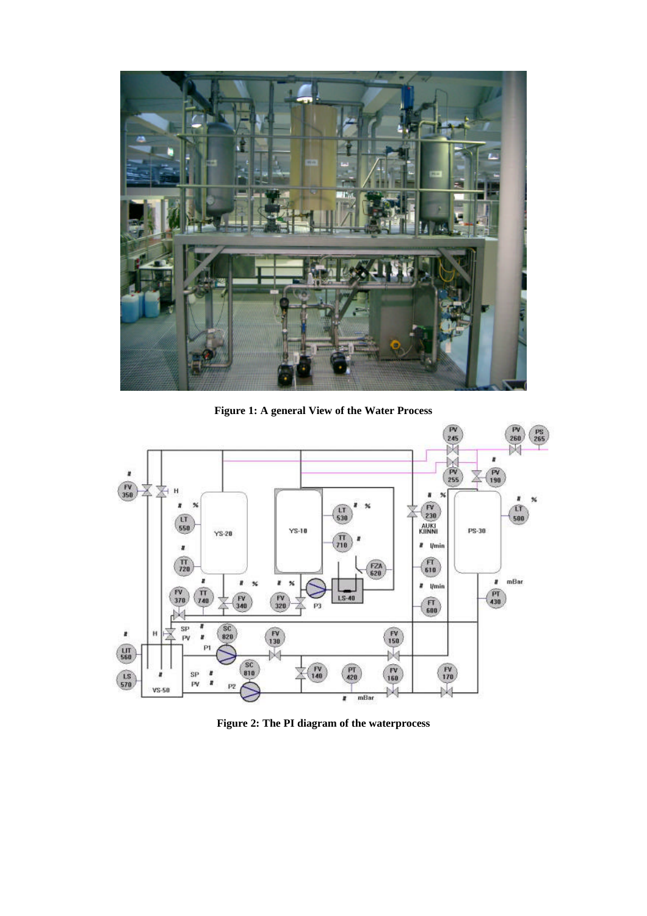

**Figure 1: A general View of the Water Process**



**Figure 2: The PI diagram of the waterprocess**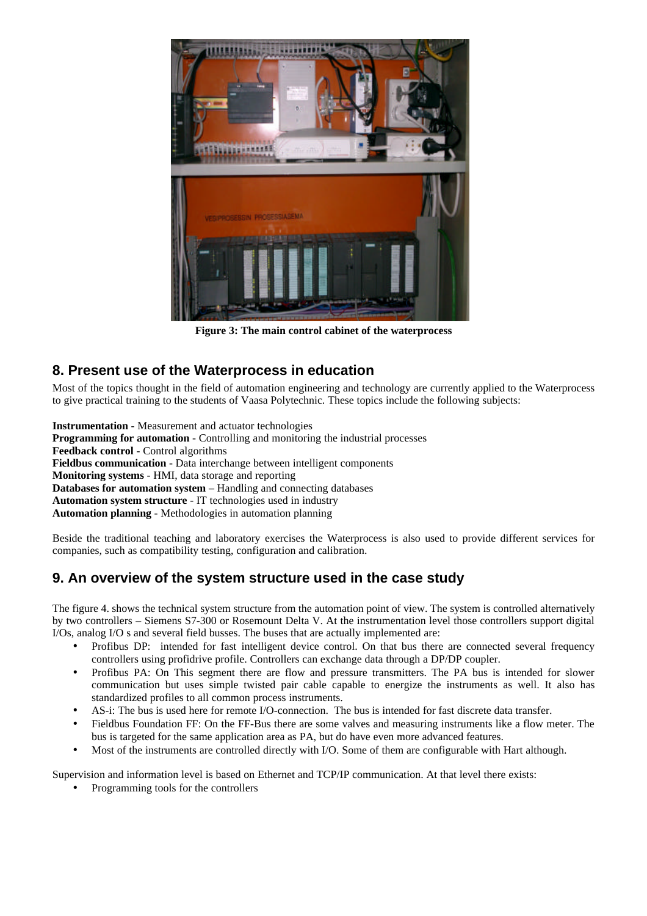

**Figure 3: The main control cabinet of the waterprocess**

## **8. Present use of the Waterprocess in education**

Most of the topics thought in the field of automation engineering and technology are currently applied to the Waterprocess to give practical training to the students of Vaasa Polytechnic. These topics include the following subjects:

**Instrumentation** - Measurement and actuator technologies **Programming for automation** - Controlling and monitoring the industrial processes **Feedback control** - Control algorithms **Fieldbus communication** - Data interchange between intelligent components **Monitoring systems** - HMI, data storage and reporting **Databases for automation system** – Handling and connecting databases **Automation system structure** - IT technologies used in industry **Automation planning** - Methodologies in automation planning

Beside the traditional teaching and laboratory exercises the Waterprocess is also used to provide different services for companies, such as compatibility testing, configuration and calibration.

# **9. An overview of the system structure used in the case study**

The figure 4. shows the technical system structure from the automation point of view. The system is controlled alternatively by two controllers – Siemens S7-300 or Rosemount Delta V. At the instrumentation level those controllers support digital I/Os, analog I/O s and several field busses. The buses that are actually implemented are:

- Profibus DP: intended for fast intelligent device control. On that bus there are connected several frequency controllers using profidrive profile. Controllers can exchange data through a DP/DP coupler.
- Profibus PA: On This segment there are flow and pressure transmitters. The PA bus is intended for slower communication but uses simple twisted pair cable capable to energize the instruments as well. It also has standardized profiles to all common process instruments.
- AS-i: The bus is used here for remote I/O-connection. The bus is intended for fast discrete data transfer.
- Fieldbus Foundation FF: On the FF-Bus there are some valves and measuring instruments like a flow meter. The bus is targeted for the same application area as PA, but do have even more advanced features.
- Most of the instruments are controlled directly with I/O. Some of them are configurable with Hart although.

Supervision and information level is based on Ethernet and TCP/IP communication. At that level there exists:

• Programming tools for the controllers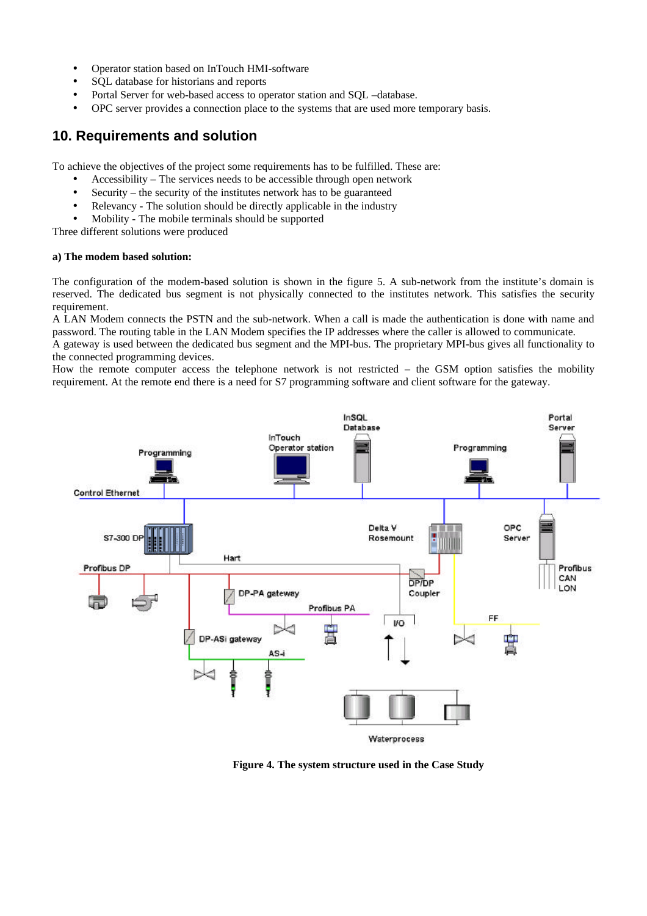- Operator station based on InTouch HMI-software
- SQL database for historians and reports
- Portal Server for web-based access to operator station and SQL –database.
- OPC server provides a connection place to the systems that are used more temporary basis.

## **10. Requirements and solution**

To achieve the objectives of the project some requirements has to be fulfilled. These are:

- Accessibility The services needs to be accessible through open network
- Security the security of the institutes network has to be guaranteed
- Relevancy The solution should be directly applicable in the industry
- Mobility The mobile terminals should be supported

Three different solutions were produced

#### **a) The modem based solution:**

The configuration of the modem-based solution is shown in the figure 5. A sub-network from the institute's domain is reserved. The dedicated bus segment is not physically connected to the institutes network. This satisfies the security requirement.

A LAN Modem connects the PSTN and the sub-network. When a call is made the authentication is done with name and password. The routing table in the LAN Modem specifies the IP addresses where the caller is allowed to communicate.

A gateway is used between the dedicated bus segment and the MPI-bus. The proprietary MPI-bus gives all functionality to the connected programming devices.

How the remote computer access the telephone network is not restricted – the GSM option satisfies the mobility requirement. At the remote end there is a need for S7 programming software and client software for the gateway.



**Figure 4. The system structure used in the Case Study**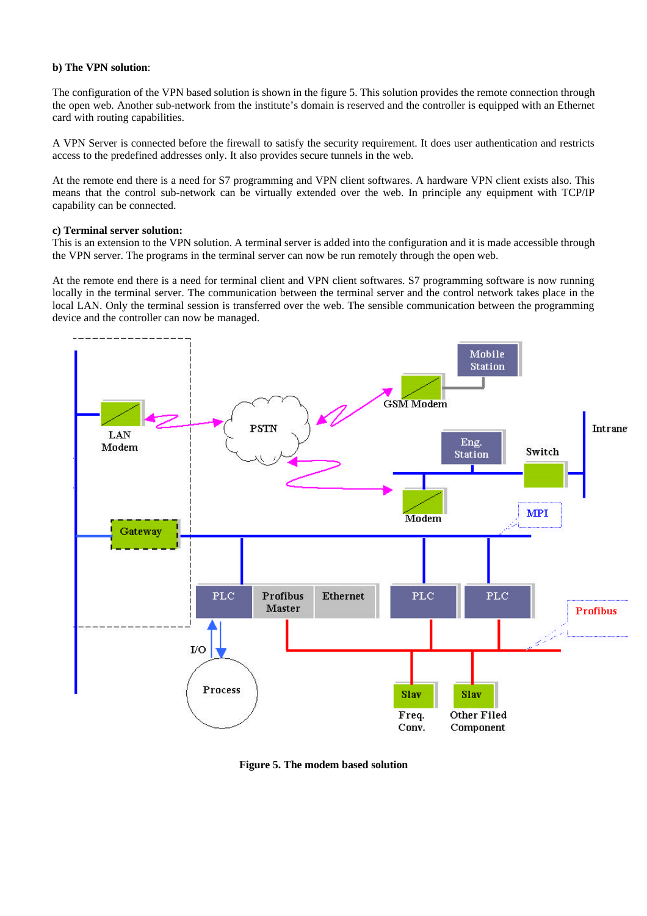#### **b) The VPN solution**:

The configuration of the VPN based solution is shown in the figure 5. This solution provides the remote connection through the open web. Another sub-network from the institute's domain is reserved and the controller is equipped with an Ethernet card with routing capabilities.

A VPN Server is connected before the firewall to satisfy the security requirement. It does user authentication and restricts access to the predefined addresses only. It also provides secure tunnels in the web.

At the remote end there is a need for S7 programming and VPN client softwares. A hardware VPN client exists also. This means that the control sub-network can be virtually extended over the web. In principle any equipment with TCP/IP capability can be connected.

#### **c) Terminal server solution:**

This is an extension to the VPN solution. A terminal server is added into the configuration and it is made accessible through the VPN server. The programs in the terminal server can now be run remotely through the open web.

At the remote end there is a need for terminal client and VPN client softwares. S7 programming software is now running locally in the terminal server. The communication between the terminal server and the control network takes place in the local LAN. Only the terminal session is transferred over the web. The sensible communication between the programming device and the controller can now be managed.



**Figure 5. The modem based solution**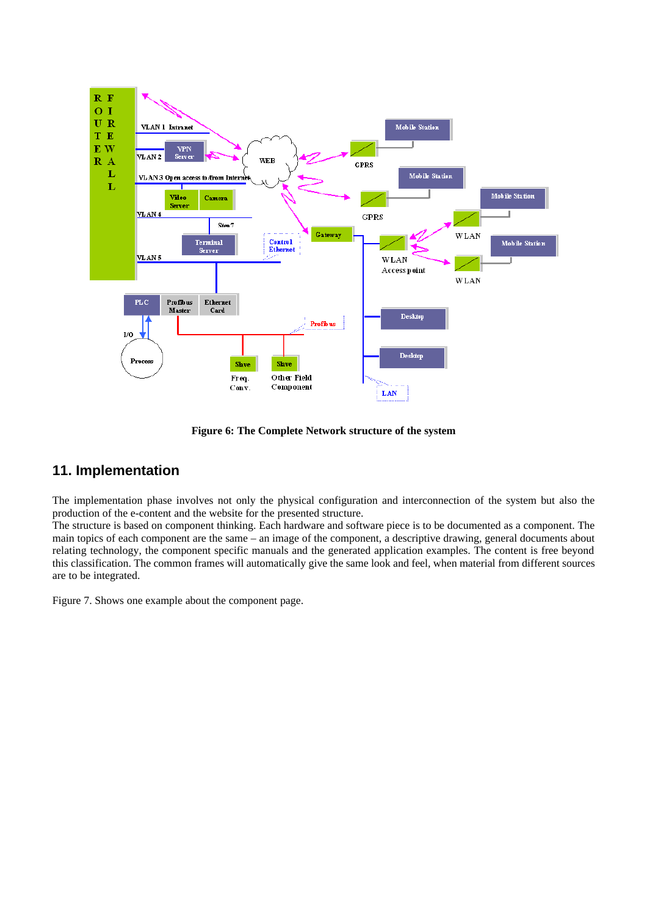

**Figure 6: The Complete Network structure of the system**

### **11. Implementation**

The implementation phase involves not only the physical configuration and interconnection of the system but also the production of the e-content and the website for the presented structure.

The structure is based on component thinking. Each hardware and software piece is to be documented as a component. The main topics of each component are the same – an image of the component, a descriptive drawing, general documents about relating technology, the component specific manuals and the generated application examples. The content is free beyond this classification. The common frames will automatically give the same look and feel, when material from different sources are to be integrated.

Figure 7. Shows one example about the component page.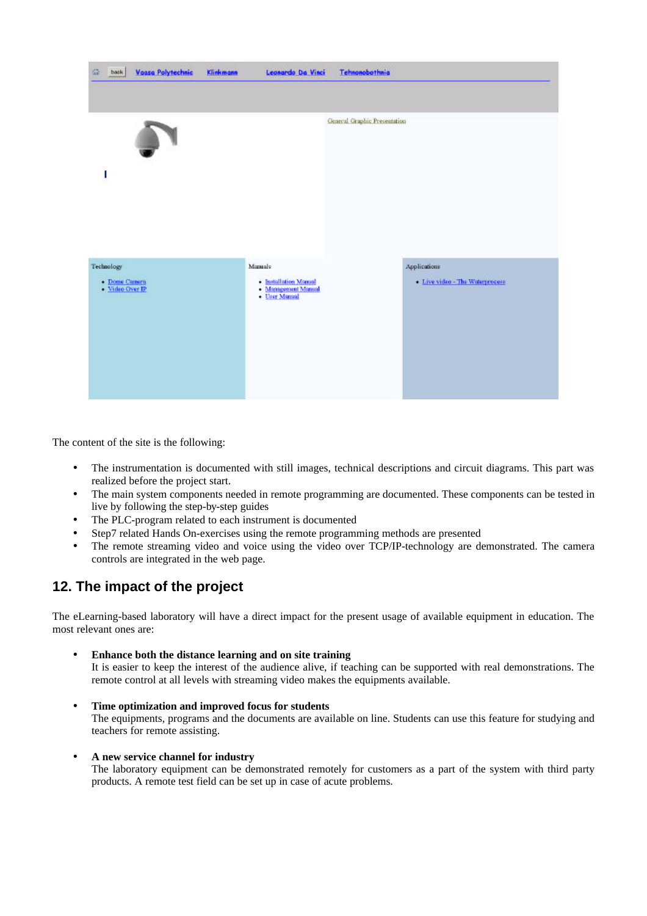

The content of the site is the following:

- The instrumentation is documented with still images, technical descriptions and circuit diagrams. This part was realized before the project start.
- The main system components needed in remote programming are documented. These components can be tested in live by following the step-by-step guides
- The PLC-program related to each instrument is documented
- Step7 related Hands On-exercises using the remote programming methods are presented
- The remote streaming video and voice using the video over TCP/IP-technology are demonstrated. The camera controls are integrated in the web page.

# **12. The impact of the project**

The eLearning-based laboratory will have a direct impact for the present usage of available equipment in education. The most relevant ones are:

- **Enhance both the distance learning and on site training** It is easier to keep the interest of the audience alive, if teaching can be supported with real demonstrations. The remote control at all levels with streaming video makes the equipments available.
- **Time optimization and improved focus for students**  The equipments, programs and the documents are available on line. Students can use this feature for studying and teachers for remote assisting.
- **A new service channel for industry**

The laboratory equipment can be demonstrated remotely for customers as a part of the system with third party products. A remote test field can be set up in case of acute problems.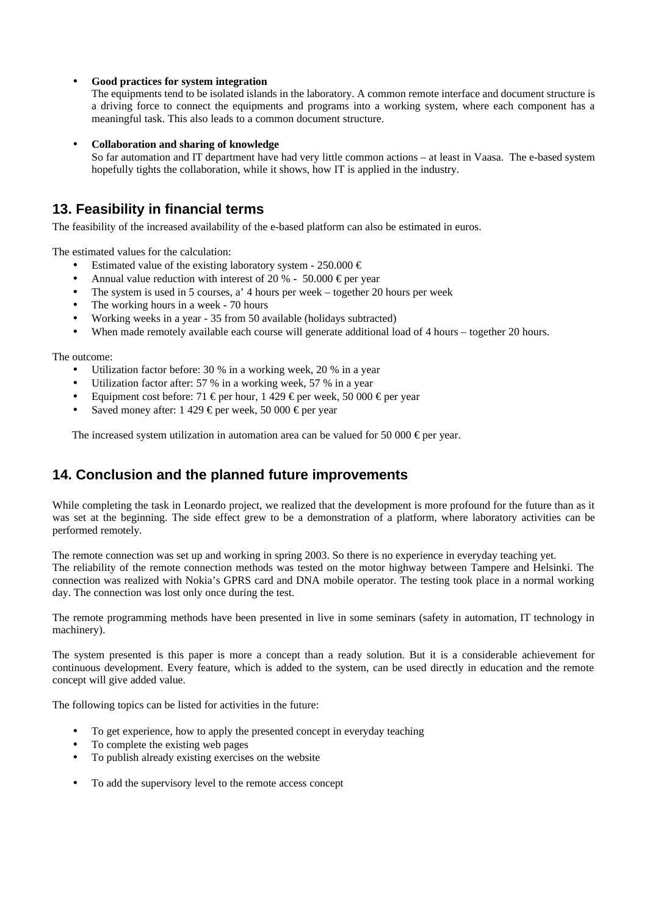#### • **Good practices for system integration**

The equipments tend to be isolated islands in the laboratory. A common remote interface and document structure is a driving force to connect the equipments and programs into a working system, where each component has a meaningful task. This also leads to a common document structure.

#### • **Collaboration and sharing of knowledge**

So far automation and IT department have had very little common actions – at least in Vaasa. The e-based system hopefully tights the collaboration, while it shows, how IT is applied in the industry.

### **13. Feasibility in financial terms**

The feasibility of the increased availability of the e-based platform can also be estimated in euros.

The estimated values for the calculation:

- Estimated value of the existing laboratory system 250.000  $\epsilon$
- Annual value reduction with interest of 20 % 50.000  $\epsilon$  per year
- The system is used in 5 courses, a' 4 hours per week together 20 hours per week
- The working hours in a week 70 hours
- Working weeks in a year 35 from 50 available (holidays subtracted)
- When made remotely available each course will generate additional load of 4 hours together 20 hours.

The outcome:

- Utilization factor before: 30 % in a working week, 20 % in a year
- Utilization factor after: 57 % in a working week, 57 % in a year
- Equipment cost before: 71  $\in$  per hour, 1 429  $\in$  per week, 50 000  $\in$  per year
- Saved money after:  $1\,429 \in \text{per week}, 50\,000 \in \text{per year}$

The increased system utilization in automation area can be valued for 50 000  $\in$  per year.

## **14. Conclusion and the planned future improvements**

While completing the task in Leonardo project, we realized that the development is more profound for the future than as it was set at the beginning. The side effect grew to be a demonstration of a platform, where laboratory activities can be performed remotely.

The remote connection was set up and working in spring 2003. So there is no experience in everyday teaching yet. The reliability of the remote connection methods was tested on the motor highway between Tampere and Helsinki. The connection was realized with Nokia's GPRS card and DNA mobile operator. The testing took place in a normal working day. The connection was lost only once during the test.

The remote programming methods have been presented in live in some seminars (safety in automation, IT technology in machinery).

The system presented is this paper is more a concept than a ready solution. But it is a considerable achievement for continuous development. Every feature, which is added to the system, can be used directly in education and the remote concept will give added value.

The following topics can be listed for activities in the future:

- To get experience, how to apply the presented concept in everyday teaching
- To complete the existing web pages
- To publish already existing exercises on the website
- To add the supervisory level to the remote access concept